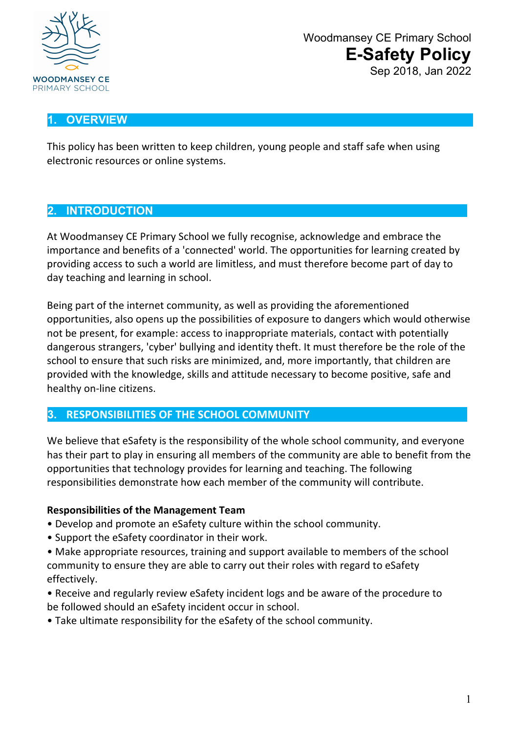

## **1. OVERVIEW**

This policy has been written to keep children, young people and staff safe when using electronic resources or online systems.

#### **2. INTRODUCTION**

At Woodmansey CE Primary School we fully recognise, acknowledge and embrace the importance and benefits of a 'connected' world. The opportunities for learning created by providing access to such a world are limitless, and must therefore become part of day to day teaching and learning in school.

Being part of the internet community, as well as providing the aforementioned opportunities, also opens up the possibilities of exposure to dangers which would otherwise not be present, for example: access to inappropriate materials, contact with potentially dangerous strangers, 'cyber' bullying and identity theft. It must therefore be the role of the school to ensure that such risks are minimized, and, more importantly, that children are provided with the knowledge, skills and attitude necessary to become positive, safe and healthy on-line citizens.

## **3. RESPONSIBILITIES OF THE SCHOOL COMMUNITY**

We believe that eSafety is the responsibility of the whole school community, and everyone has their part to play in ensuring all members of the community are able to benefit from the opportunities that technology provides for learning and teaching. The following responsibilities demonstrate how each member of the community will contribute.

#### **Responsibilities of the Management Team**

- Develop and promote an eSafety culture within the school community.
- Support the eSafety coordinator in their work.
- Make appropriate resources, training and support available to members of the school community to ensure they are able to carry out their roles with regard to eSafety effectively.
- Receive and regularly review eSafety incident logs and be aware of the procedure to be followed should an eSafety incident occur in school.
- Take ultimate responsibility for the eSafety of the school community.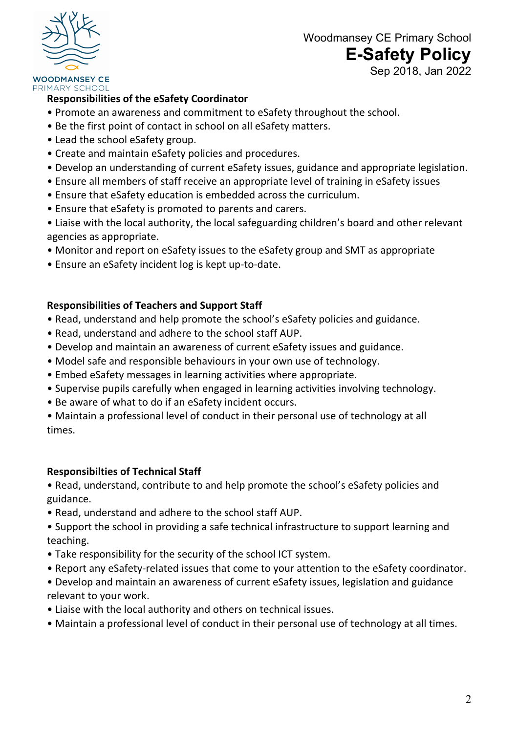

# Woodmansey CE Primary School **E-Safety Policy**

Sep 2018, Jan 2022

#### **WOODMANSEY CE** PRIMARY SCHOOL

#### **Responsibilities of the eSafety Coordinator**

- Promote an awareness and commitment to eSafety throughout the school.
- Be the first point of contact in school on all eSafety matters.
- Lead the school eSafety group.
- Create and maintain eSafety policies and procedures.
- Develop an understanding of current eSafety issues, guidance and appropriate legislation.
- Ensure all members of staff receive an appropriate level of training in eSafety issues
- Ensure that eSafety education is embedded across the curriculum.
- Ensure that eSafety is promoted to parents and carers.
- Liaise with the local authority, the local safeguarding children's board and other relevant agencies as appropriate.
- Monitor and report on eSafety issues to the eSafety group and SMT as appropriate
- Ensure an eSafety incident log is kept up-to-date.

## **Responsibilities of Teachers and Support Staff**

- Read, understand and help promote the school's eSafety policies and guidance.
- Read, understand and adhere to the school staff AUP.
- Develop and maintain an awareness of current eSafety issues and guidance.
- Model safe and responsible behaviours in your own use of technology.
- Embed eSafety messages in learning activities where appropriate.
- Supervise pupils carefully when engaged in learning activities involving technology.
- Be aware of what to do if an eSafety incident occurs.
- Maintain a professional level of conduct in their personal use of technology at all times.

## **Responsibilties of Technical Staff**

- Read, understand, contribute to and help promote the school's eSafety policies and guidance.
- Read, understand and adhere to the school staff AUP.
- Support the school in providing a safe technical infrastructure to support learning and teaching.
- Take responsibility for the security of the school ICT system.
- Report any eSafety-related issues that come to your attention to the eSafety coordinator.
- Develop and maintain an awareness of current eSafety issues, legislation and guidance relevant to your work.
- Liaise with the local authority and others on technical issues.
- Maintain a professional level of conduct in their personal use of technology at all times.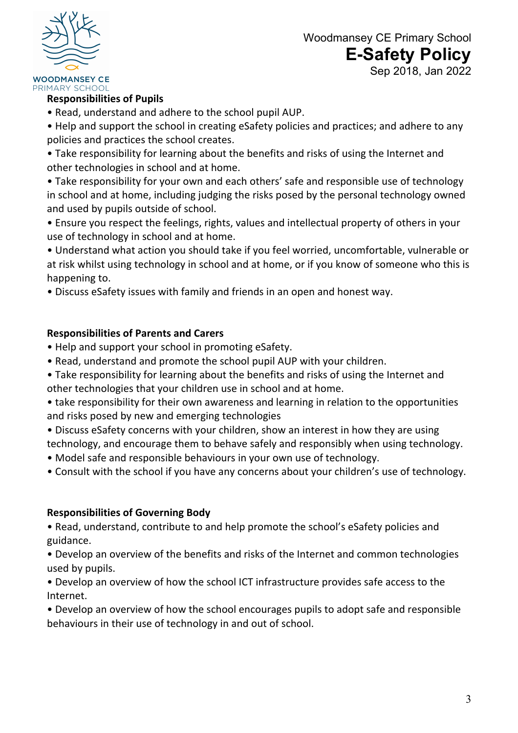

#### **WOODMANSEY CE** PRIMARY SCHOOL

#### **Responsibilities of Pupils**

• Read, understand and adhere to the school pupil AUP.

• Help and support the school in creating eSafety policies and practices; and adhere to any policies and practices the school creates.

• Take responsibility for learning about the benefits and risks of using the Internet and other technologies in school and at home.

- Take responsibility for your own and each others' safe and responsible use of technology in school and at home, including judging the risks posed by the personal technology owned and used by pupils outside of school.
- Ensure you respect the feelings, rights, values and intellectual property of others in your use of technology in school and at home.

• Understand what action you should take if you feel worried, uncomfortable, vulnerable or at risk whilst using technology in school and at home, or if you know of someone who this is happening to.

• Discuss eSafety issues with family and friends in an open and honest way.

## **Responsibilities of Parents and Carers**

- Help and support your school in promoting eSafety.
- Read, understand and promote the school pupil AUP with your children.
- Take responsibility for learning about the benefits and risks of using the Internet and other technologies that your children use in school and at home.

• take responsibility for their own awareness and learning in relation to the opportunities and risks posed by new and emerging technologies

• Discuss eSafety concerns with your children, show an interest in how they are using technology, and encourage them to behave safely and responsibly when using technology.

- Model safe and responsible behaviours in your own use of technology.
- Consult with the school if you have any concerns about your children's use of technology.

#### **Responsibilities of Governing Body**

• Read, understand, contribute to and help promote the school's eSafety policies and guidance.

• Develop an overview of the benefits and risks of the Internet and common technologies used by pupils.

• Develop an overview of how the school ICT infrastructure provides safe access to the Internet.

• Develop an overview of how the school encourages pupils to adopt safe and responsible behaviours in their use of technology in and out of school.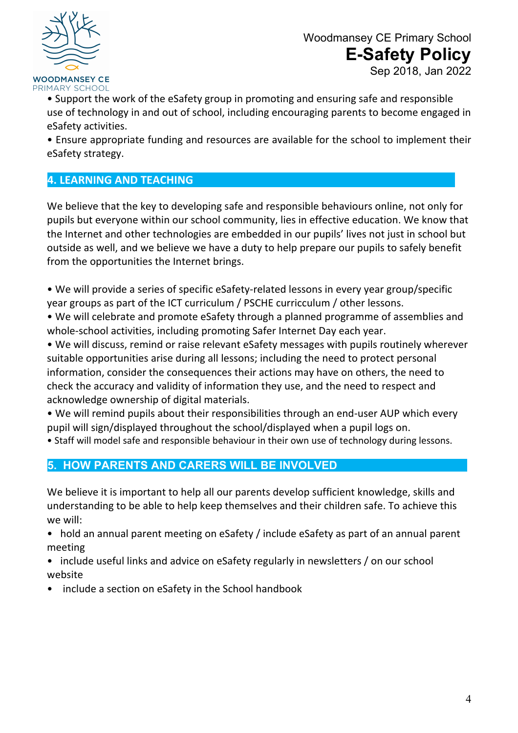

• Support the work of the eSafety group in promoting and ensuring safe and responsible use of technology in and out of school, including encouraging parents to become engaged in eSafety activities.

• Ensure appropriate funding and resources are available for the school to implement their eSafety strategy.

## **4. LEARNING AND TEACHING**

We believe that the key to developing safe and responsible behaviours online, not only for pupils but everyone within our school community, lies in effective education. We know that the Internet and other technologies are embedded in our pupils' lives not just in school but outside as well, and we believe we have a duty to help prepare our pupils to safely benefit from the opportunities the Internet brings.

• We will provide a series of specific eSafety-related lessons in every year group/specific year groups as part of the ICT curriculum / PSCHE curricculum / other lessons.

• We will celebrate and promote eSafety through a planned programme of assemblies and whole-school activities, including promoting Safer Internet Day each year.

• We will discuss, remind or raise relevant eSafety messages with pupils routinely wherever suitable opportunities arise during all lessons; including the need to protect personal information, consider the consequences their actions may have on others, the need to check the accuracy and validity of information they use, and the need to respect and acknowledge ownership of digital materials.

• We will remind pupils about their responsibilities through an end-user AUP which every pupil will sign/displayed throughout the school/displayed when a pupil logs on.

• Staff will model safe and responsible behaviour in their own use of technology during lessons.

## **5. HOW PARENTS AND CARERS WILL BE INVOLVED**

We believe it is important to help all our parents develop sufficient knowledge, skills and understanding to be able to help keep themselves and their children safe. To achieve this we will:

- hold an annual parent meeting on eSafety / include eSafety as part of an annual parent meeting
- include useful links and advice on eSafety regularly in newsletters / on our school website
- include a section on eSafety in the School handbook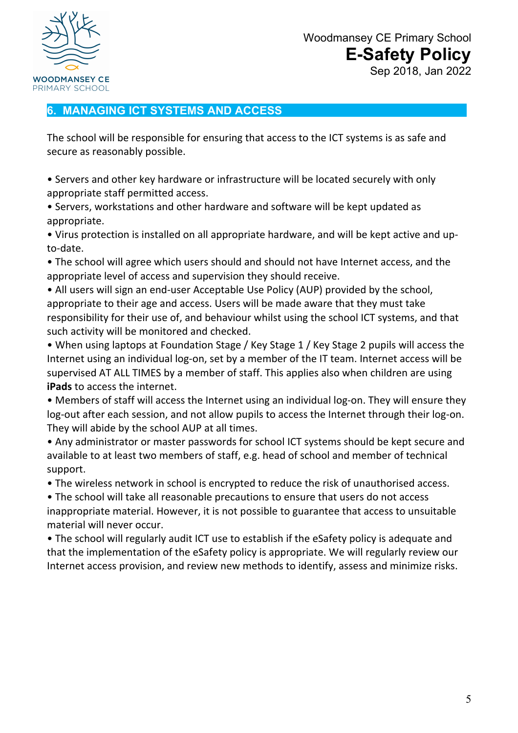

#### **6. MANAGING ICT SYSTEMS AND ACCESS**

The school will be responsible for ensuring that access to the ICT systems is as safe and secure as reasonably possible.

• Servers and other key hardware or infrastructure will be located securely with only appropriate staff permitted access.

• Servers, workstations and other hardware and software will be kept updated as appropriate.

• Virus protection is installed on all appropriate hardware, and will be kept active and upto-date.

• The school will agree which users should and should not have Internet access, and the appropriate level of access and supervision they should receive.

• All users will sign an end-user Acceptable Use Policy (AUP) provided by the school, appropriate to their age and access. Users will be made aware that they must take responsibility for their use of, and behaviour whilst using the school ICT systems, and that such activity will be monitored and checked.

• When using laptops at Foundation Stage / Key Stage 1 / Key Stage 2 pupils will access the Internet using an individual log-on, set by a member of the IT team. Internet access will be supervised AT ALL TIMES by a member of staff. This applies also when children are using **iPads** to access the internet.

• Members of staff will access the Internet using an individual log-on. They will ensure they log-out after each session, and not allow pupils to access the Internet through their log-on. They will abide by the school AUP at all times.

• Any administrator or master passwords for school ICT systems should be kept secure and available to at least two members of staff, e.g. head of school and member of technical support.

• The wireless network in school is encrypted to reduce the risk of unauthorised access.

• The school will take all reasonable precautions to ensure that users do not access inappropriate material. However, it is not possible to guarantee that access to unsuitable material will never occur.

• The school will regularly audit ICT use to establish if the eSafety policy is adequate and that the implementation of the eSafety policy is appropriate. We will regularly review our Internet access provision, and review new methods to identify, assess and minimize risks.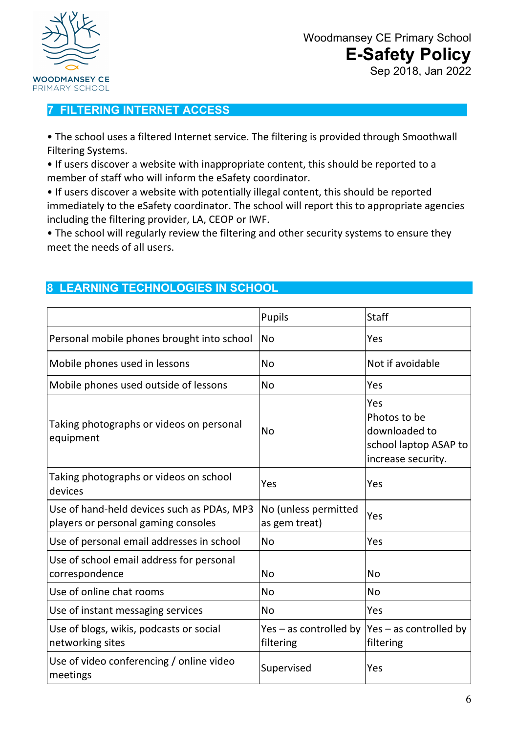

## **7 FILTERING INTERNET ACCESS**

• The school uses a filtered Internet service. The filtering is provided through Smoothwall Filtering Systems.

• If users discover a website with inappropriate content, this should be reported to a member of staff who will inform the eSafety coordinator.

• If users discover a website with potentially illegal content, this should be reported immediately to the eSafety coordinator. The school will report this to appropriate agencies including the filtering provider, LA, CEOP or IWF.

• The school will regularly review the filtering and other security systems to ensure they meet the needs of all users.

## **8 LEARNING TECHNOLOGIES IN SCHOOL**

|                                                                                   | Pupils                                  | <b>Staff</b>                                                                        |
|-----------------------------------------------------------------------------------|-----------------------------------------|-------------------------------------------------------------------------------------|
| Personal mobile phones brought into school                                        | <b>No</b>                               | Yes                                                                                 |
| Mobile phones used in lessons                                                     | <b>No</b>                               | Not if avoidable                                                                    |
| Mobile phones used outside of lessons                                             | <b>No</b>                               | Yes                                                                                 |
| Taking photographs or videos on personal<br>equipment                             | <b>No</b>                               | Yes<br>Photos to be<br>downloaded to<br>school laptop ASAP to<br>increase security. |
| Taking photographs or videos on school<br>devices                                 | Yes                                     | Yes                                                                                 |
| Use of hand-held devices such as PDAs, MP3<br>players or personal gaming consoles | No (unless permitted<br>as gem treat)   | Yes                                                                                 |
| Use of personal email addresses in school                                         | <b>No</b>                               | Yes                                                                                 |
| Use of school email address for personal<br>correspondence                        | No                                      | No                                                                                  |
| Use of online chat rooms                                                          | <b>No</b>                               | <b>No</b>                                                                           |
| Use of instant messaging services                                                 | <b>No</b>                               | Yes                                                                                 |
| Use of blogs, wikis, podcasts or social<br>networking sites                       | Yes – as controlled by $ $<br>filtering | $Yes - as controlled by$<br>filtering                                               |
| Use of video conferencing / online video<br>meetings                              | Supervised                              | Yes                                                                                 |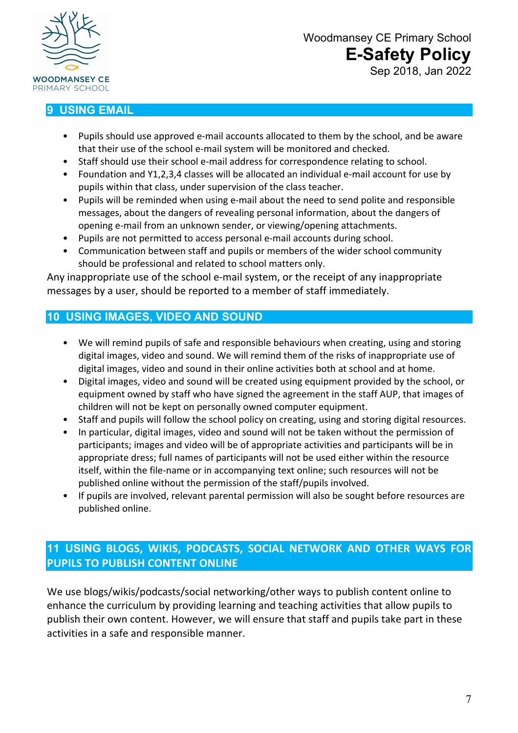

## **9 USING EMAIL**

- Pupils should use approved e-mail accounts allocated to them by the school, and be aware that their use of the school e-mail system will be monitored and checked.
- Staff should use their school e-mail address for correspondence relating to school.
- Foundation and Y1,2,3,4 classes will be allocated an individual e-mail account for use by pupils within that class, under supervision of the class teacher.
- Pupils will be reminded when using e-mail about the need to send polite and responsible messages, about the dangers of revealing personal information, about the dangers of opening e-mail from an unknown sender, or viewing/opening attachments.
- Pupils are not permitted to access personal e-mail accounts during school.
- Communication between staff and pupils or members of the wider school community should be professional and related to school matters only.

Any inappropriate use of the school e-mail system, or the receipt of any inappropriate messages by a user, should be reported to a member of staff immediately.

## **10 USING IMAGES, VIDEO AND SOUND**

- We will remind pupils of safe and responsible behaviours when creating, using and storing digital images, video and sound. We will remind them of the risks of inappropriate use of digital images, video and sound in their online activities both at school and at home.
- Digital images, video and sound will be created using equipment provided by the school, or equipment owned by staff who have signed the agreement in the staff AUP, that images of children will not be kept on personally owned computer equipment.
- Staff and pupils will follow the school policy on creating, using and storing digital resources.
- In particular, digital images, video and sound will not be taken without the permission of participants; images and video will be of appropriate activities and participants will be in appropriate dress; full names of participants will not be used either within the resource itself, within the file-name or in accompanying text online; such resources will not be published online without the permission of the staff/pupils involved.
- If pupils are involved, relevant parental permission will also be sought before resources are published online.

## **11 USING BLOGS, WIKIS, PODCASTS, SOCIAL NETWORK AND OTHER WAYS FOR PUPILS TO PUBLISH CONTENT ONLINE**

We use blogs/wikis/podcasts/social networking/other ways to publish content online to enhance the curriculum by providing learning and teaching activities that allow pupils to publish their own content. However, we will ensure that staff and pupils take part in these activities in a safe and responsible manner.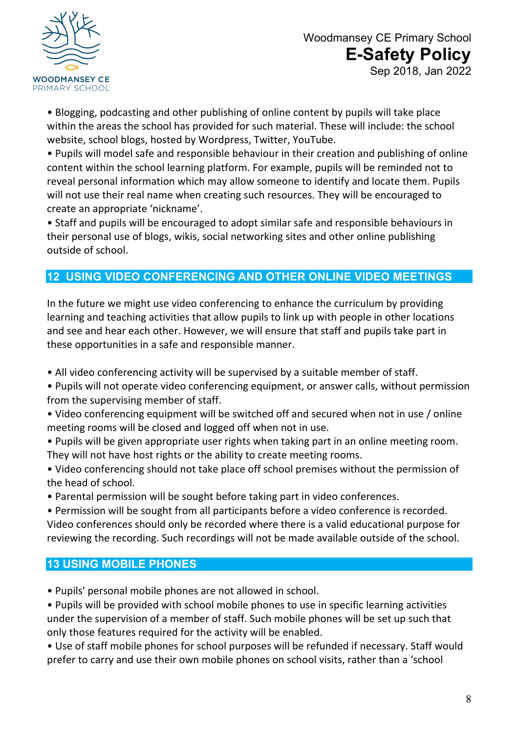

• Blogging, podcasting and other publishing of online content by pupils will take place within the areas the school has provided for such material. These will include: the school website, school blogs, hosted by Wordpress, Twitter, YouTube.

• Pupils will model safe and responsible behaviour in their creation and publishing of online content within the school learning platform. For example, pupils will be reminded not to reveal personal information which may allow someone to identify and locate them. Pupils will not use their real name when creating such resources. They will be encouraged to create an appropriate 'nickname'.

• Staff and pupils will be encouraged to adopt similar safe and responsible behaviours in their personal use of blogs, wikis, social networking sites and other online publishing outside of school.

## **12 USING VIDEO CONFERENCING AND OTHER ONLINE VIDEO MEETINGS**

In the future we might use video conferencing to enhance the curriculum by providing learning and teaching activities that allow pupils to link up with people in other locations and see and hear each other. However, we will ensure that staff and pupils take part in these opportunities in a safe and responsible manner.

- All video conferencing activity will be supervised by a suitable member of staff.
- Pupils will not operate video conferencing equipment, or answer calls, without permission from the supervising member of staff.
- Video conferencing equipment will be switched off and secured when not in use / online meeting rooms will be closed and logged off when not in use.
- Pupils will be given appropriate user rights when taking part in an online meeting room. They will not have host rights or the ability to create meeting rooms.
- Video conferencing should not take place off school premises without the permission of the head of school.
- Parental permission will be sought before taking part in video conferences.

• Permission will be sought from all participants before a video conference is recorded. Video conferences should only be recorded where there is a valid educational purpose for reviewing the recording. Such recordings will not be made available outside of the school.

## **13 USING MOBILE PHONES**

• Pupils' personal mobile phones are not allowed in school.

• Pupils will be provided with school mobile phones to use in specific learning activities under the supervision of a member of staff. Such mobile phones will be set up such that only those features required for the activity will be enabled.

• Use of staff mobile phones for school purposes will be refunded if necessary. Staff would prefer to carry and use their own mobile phones on school visits, rather than a 'school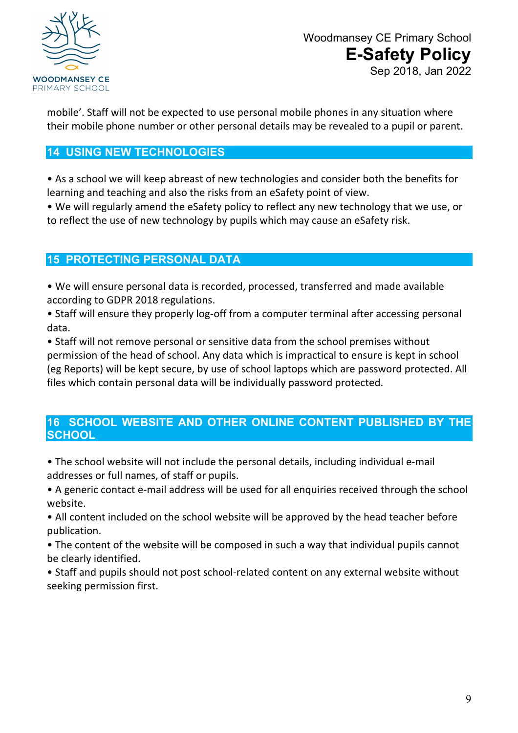

mobile'. Staff will not be expected to use personal mobile phones in any situation where their mobile phone number or other personal details may be revealed to a pupil or parent.

## **14 USING NEW TECHNOLOGIES**

• As a school we will keep abreast of new technologies and consider both the benefits for learning and teaching and also the risks from an eSafety point of view.

• We will regularly amend the eSafety policy to reflect any new technology that we use, or to reflect the use of new technology by pupils which may cause an eSafety risk.

## **15 PROTECTING PERSONAL DATA**

• We will ensure personal data is recorded, processed, transferred and made available according to GDPR 2018 regulations.

• Staff will ensure they properly log-off from a computer terminal after accessing personal data.

• Staff will not remove personal or sensitive data from the school premises without permission of the head of school. Any data which is impractical to ensure is kept in school (eg Reports) will be kept secure, by use of school laptops which are password protected. All files which contain personal data will be individually password protected.

## **16 SCHOOL WEBSITE AND OTHER ONLINE CONTENT PUBLISHED BY THE SCHOOL**

• The school website will not include the personal details, including individual e-mail addresses or full names, of staff or pupils.

• A generic contact e-mail address will be used for all enquiries received through the school website.

• All content included on the school website will be approved by the head teacher before publication.

• The content of the website will be composed in such a way that individual pupils cannot be clearly identified.

• Staff and pupils should not post school-related content on any external website without seeking permission first.